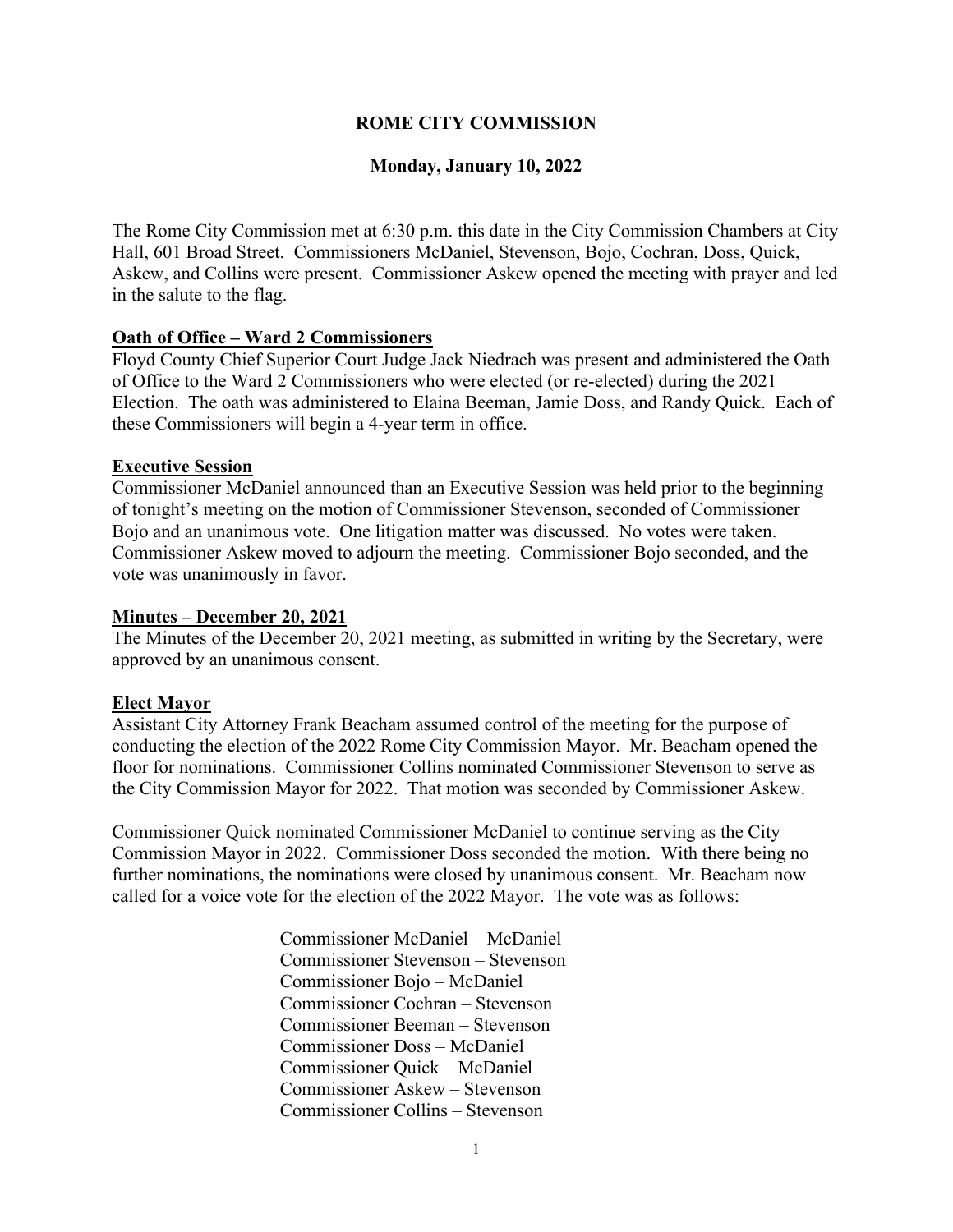# **ROME CITY COMMISSION**

## **Monday, January 10, 2022**

The Rome City Commission met at 6:30 p.m. this date in the City Commission Chambers at City Hall, 601 Broad Street. Commissioners McDaniel, Stevenson, Bojo, Cochran, Doss, Quick, Askew, and Collins were present. Commissioner Askew opened the meeting with prayer and led in the salute to the flag.

### **Oath of Office – Ward 2 Commissioners**

Floyd County Chief Superior Court Judge Jack Niedrach was present and administered the Oath of Office to the Ward 2 Commissioners who were elected (or re-elected) during the 2021 Election. The oath was administered to Elaina Beeman, Jamie Doss, and Randy Quick. Each of these Commissioners will begin a 4-year term in office.

### **Executive Session**

Commissioner McDaniel announced than an Executive Session was held prior to the beginning of tonight's meeting on the motion of Commissioner Stevenson, seconded of Commissioner Bojo and an unanimous vote. One litigation matter was discussed. No votes were taken. Commissioner Askew moved to adjourn the meeting. Commissioner Bojo seconded, and the vote was unanimously in favor.

#### **Minutes – December 20, 2021**

The Minutes of the December 20, 2021 meeting, as submitted in writing by the Secretary, were approved by an unanimous consent.

#### **Elect Mayor**

Assistant City Attorney Frank Beacham assumed control of the meeting for the purpose of conducting the election of the 2022 Rome City Commission Mayor. Mr. Beacham opened the floor for nominations. Commissioner Collins nominated Commissioner Stevenson to serve as the City Commission Mayor for 2022. That motion was seconded by Commissioner Askew.

Commissioner Quick nominated Commissioner McDaniel to continue serving as the City Commission Mayor in 2022. Commissioner Doss seconded the motion. With there being no further nominations, the nominations were closed by unanimous consent. Mr. Beacham now called for a voice vote for the election of the 2022 Mayor. The vote was as follows:

> Commissioner McDaniel – McDaniel Commissioner Stevenson – Stevenson Commissioner Bojo – McDaniel Commissioner Cochran – Stevenson Commissioner Beeman – Stevenson Commissioner Doss – McDaniel Commissioner Quick – McDaniel Commissioner Askew – Stevenson Commissioner Collins – Stevenson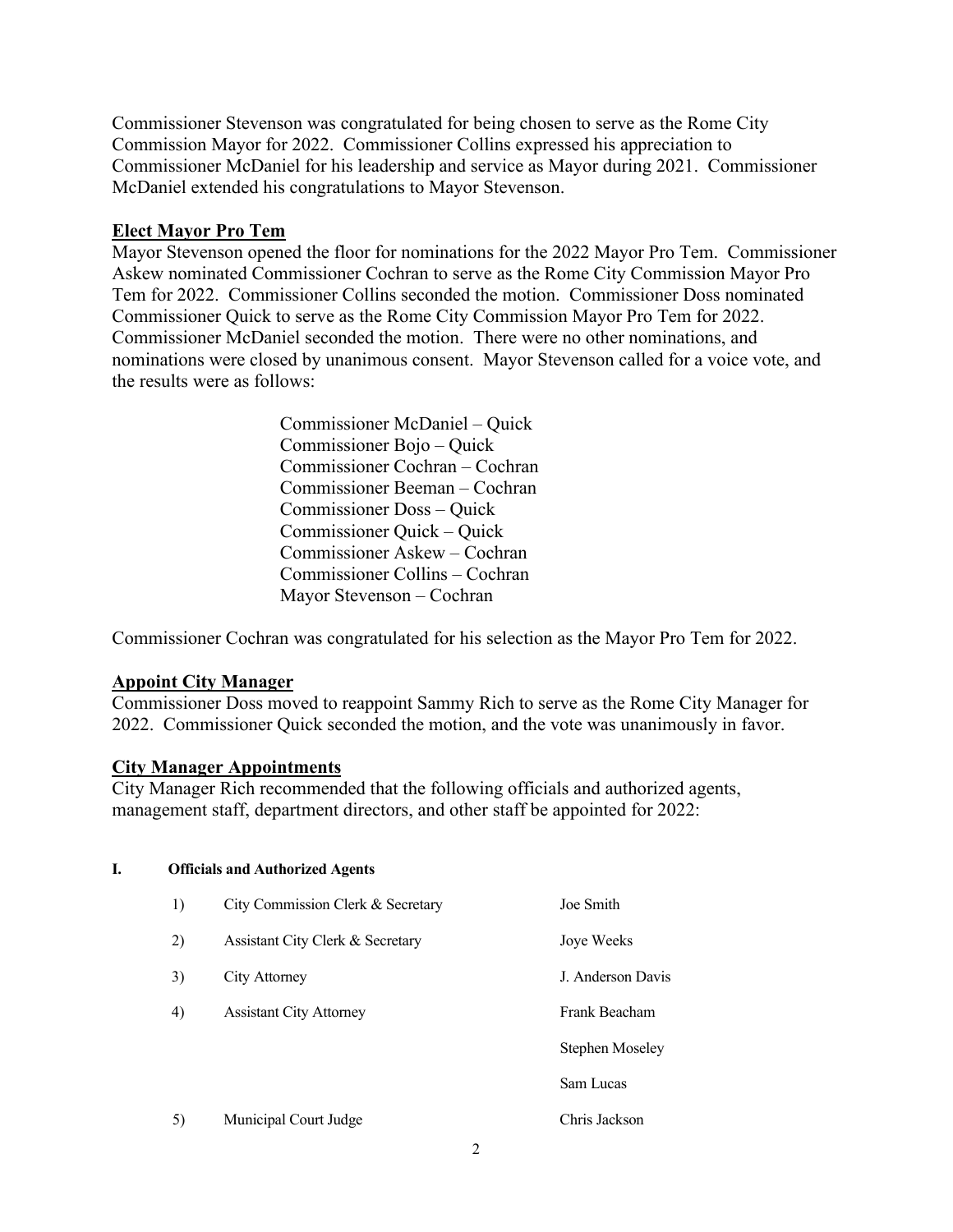Commissioner Stevenson was congratulated for being chosen to serve as the Rome City Commission Mayor for 2022. Commissioner Collins expressed his appreciation to Commissioner McDaniel for his leadership and service as Mayor during 2021. Commissioner McDaniel extended his congratulations to Mayor Stevenson.

# **Elect Mayor Pro Tem**

Mayor Stevenson opened the floor for nominations for the 2022 Mayor Pro Tem. Commissioner Askew nominated Commissioner Cochran to serve as the Rome City Commission Mayor Pro Tem for 2022. Commissioner Collins seconded the motion. Commissioner Doss nominated Commissioner Quick to serve as the Rome City Commission Mayor Pro Tem for 2022. Commissioner McDaniel seconded the motion. There were no other nominations, and nominations were closed by unanimous consent. Mayor Stevenson called for a voice vote, and the results were as follows:

> Commissioner McDaniel – Quick Commissioner Bojo – Quick Commissioner Cochran – Cochran Commissioner Beeman – Cochran Commissioner Doss – Quick Commissioner Quick – Quick Commissioner Askew – Cochran Commissioner Collins – Cochran Mayor Stevenson – Cochran

Commissioner Cochran was congratulated for his selection as the Mayor Pro Tem for 2022.

## **Appoint City Manager**

Commissioner Doss moved to reappoint Sammy Rich to serve as the Rome City Manager for 2022. Commissioner Quick seconded the motion, and the vote was unanimously in favor.

#### **City Manager Appointments**

**I. Officials and Authorized Agents**

City Manager Rich recommended that the following officials and authorized agents, management staff, department directors, and other staff be appointed for 2022:

# 1) City Commission Clerk & Secretary Joe Smith 2) Assistant City Clerk & Secretary Joye Weeks 3) City Attorney J. Anderson Davis 4) Assistant City Attorney Frank Beacham Stephen Moseley Sam Lucas 5) Municipal Court Judge Chris Jackson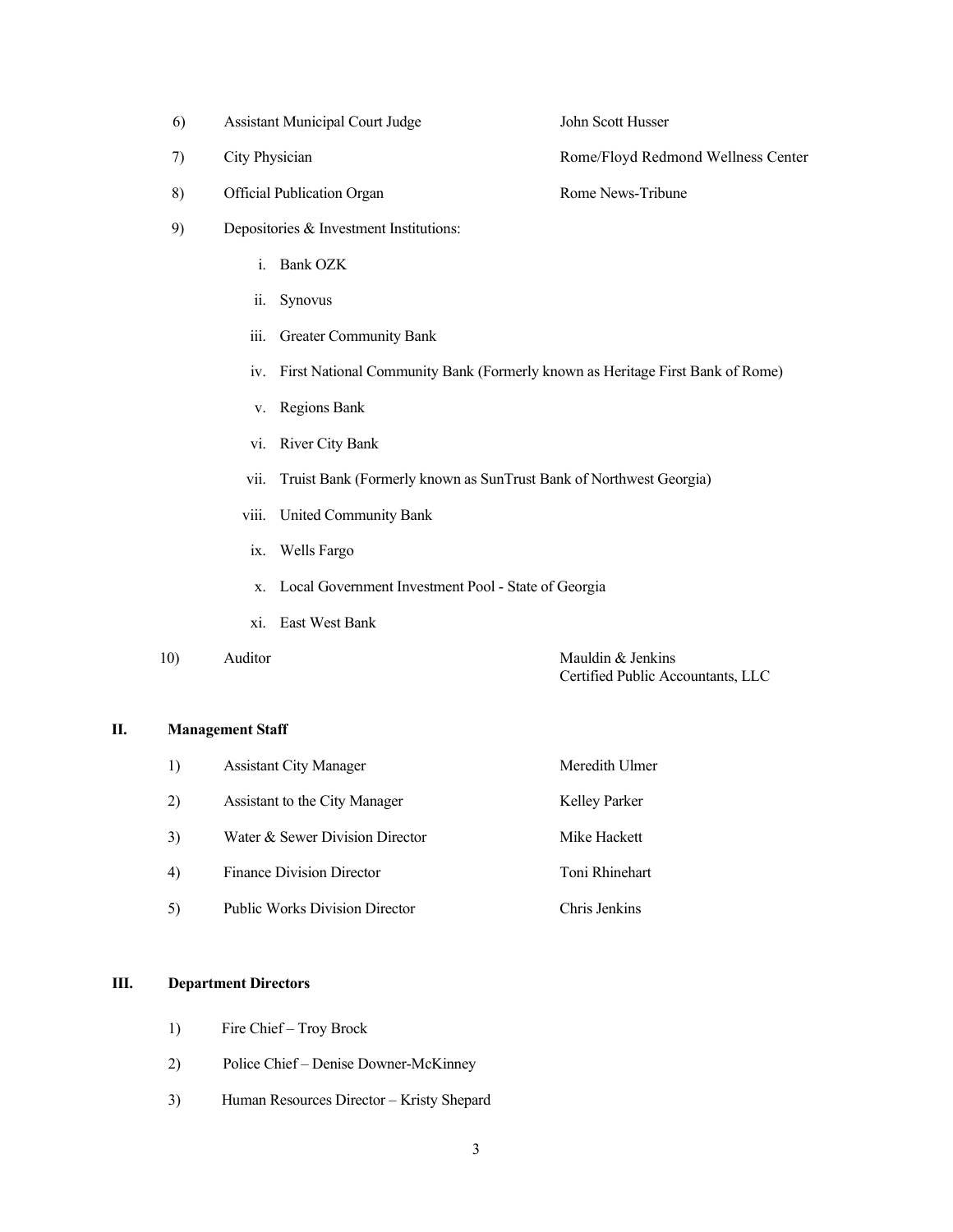- 6) Assistant Municipal Court Judge John Scott Husser 7) City Physician Rome/Floyd Redmond Wellness Center 8) Official Publication Organ Rome News-Tribune 9) Depositories & Investment Institutions: i. Bank OZK ii. Synovus iii. Greater Community Bank iv. First National Community Bank (Formerly known as Heritage First Bank of Rome) v. Regions Bank vi. River City Bank vii. Truist Bank (Formerly known as SunTrust Bank of Northwest Georgia) viii. United Community Bank ix. Wells Fargo x. Local Government Investment Pool - State of Georgia
	- xi. East West Bank

10) Auditor Mauldin & Jenkins

Certified Public Accountants, LLC

#### **II. Management Staff**

| 1) | <b>Assistant City Manager</b>         | Meredith Ulmer |
|----|---------------------------------------|----------------|
| 2) | Assistant to the City Manager         | Kelley Parker  |
| 3) | Water & Sewer Division Director       | Mike Hackett   |
| 4) | <b>Finance Division Director</b>      | Toni Rhinehart |
| 5) | <b>Public Works Division Director</b> | Chris Jenkins  |

#### **III. Department Directors**

- 1) Fire Chief Troy Brock
- 2) Police Chief Denise Downer-McKinney
- 3) Human Resources Director Kristy Shepard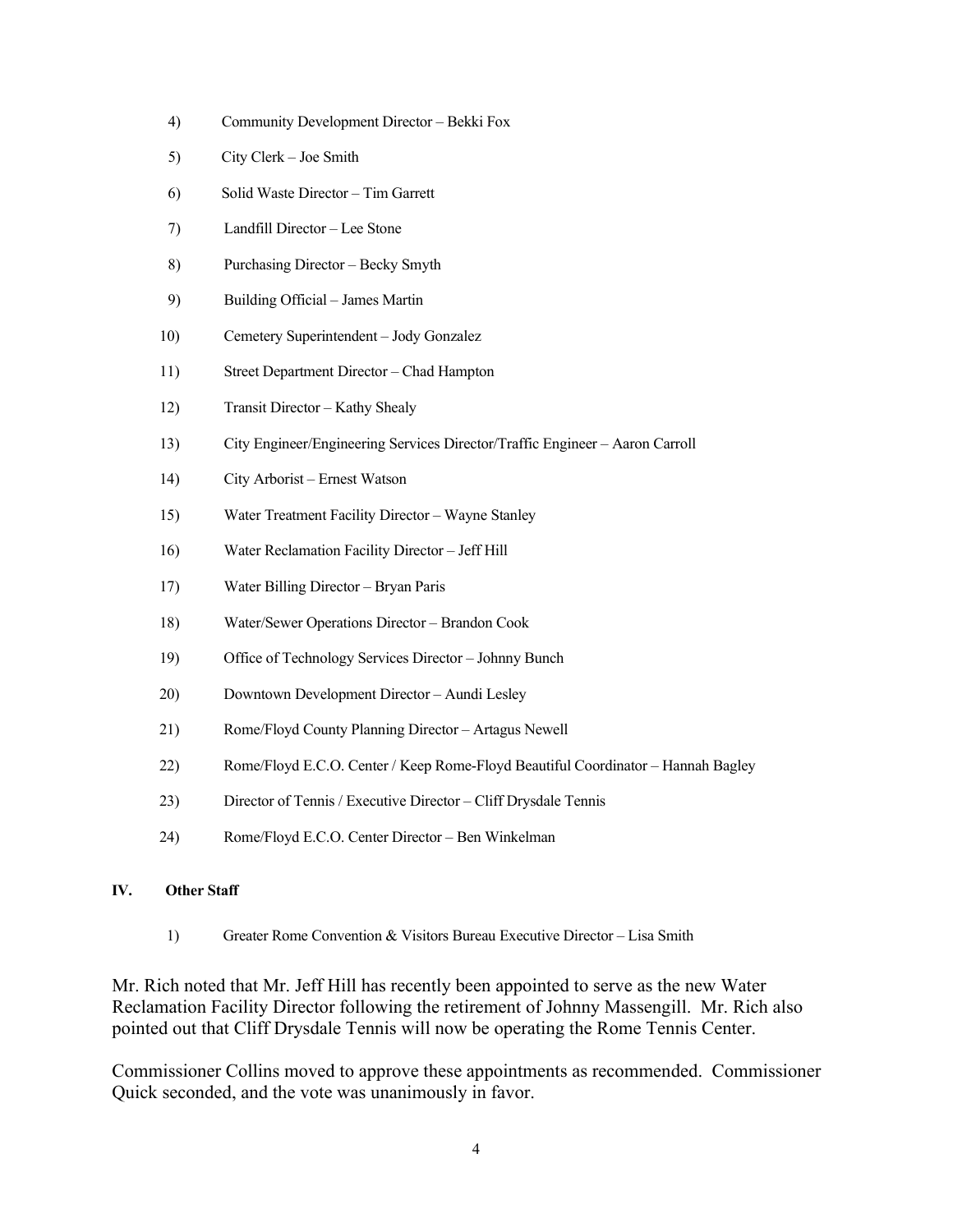- 4) Community Development Director Bekki Fox
- 5) City Clerk Joe Smith
- 6) Solid Waste Director Tim Garrett
- 7) Landfill Director Lee Stone
- 8) Purchasing Director Becky Smyth
- 9) Building Official James Martin
- 10) Cemetery Superintendent Jody Gonzalez
- 11) Street Department Director Chad Hampton
- 12) Transit Director Kathy Shealy
- 13) City Engineer/Engineering Services Director/Traffic Engineer Aaron Carroll
- 14) City Arborist Ernest Watson
- 15) Water Treatment Facility Director Wayne Stanley
- 16) Water Reclamation Facility Director Jeff Hill
- 17) Water Billing Director Bryan Paris
- 18) Water/Sewer Operations Director Brandon Cook
- 19) Office of Technology Services Director Johnny Bunch
- 20) Downtown Development Director Aundi Lesley
- 21) Rome/Floyd County Planning Director Artagus Newell
- 22) Rome/Floyd E.C.O. Center / Keep Rome-Floyd Beautiful Coordinator Hannah Bagley
- 23) Director of Tennis / Executive Director Cliff Drysdale Tennis
- 24) Rome/Floyd E.C.O. Center Director Ben Winkelman

#### **IV. Other Staff**

1) Greater Rome Convention & Visitors Bureau Executive Director – Lisa Smith

Mr. Rich noted that Mr. Jeff Hill has recently been appointed to serve as the new Water Reclamation Facility Director following the retirement of Johnny Massengill. Mr. Rich also pointed out that Cliff Drysdale Tennis will now be operating the Rome Tennis Center.

Commissioner Collins moved to approve these appointments as recommended. Commissioner Quick seconded, and the vote was unanimously in favor.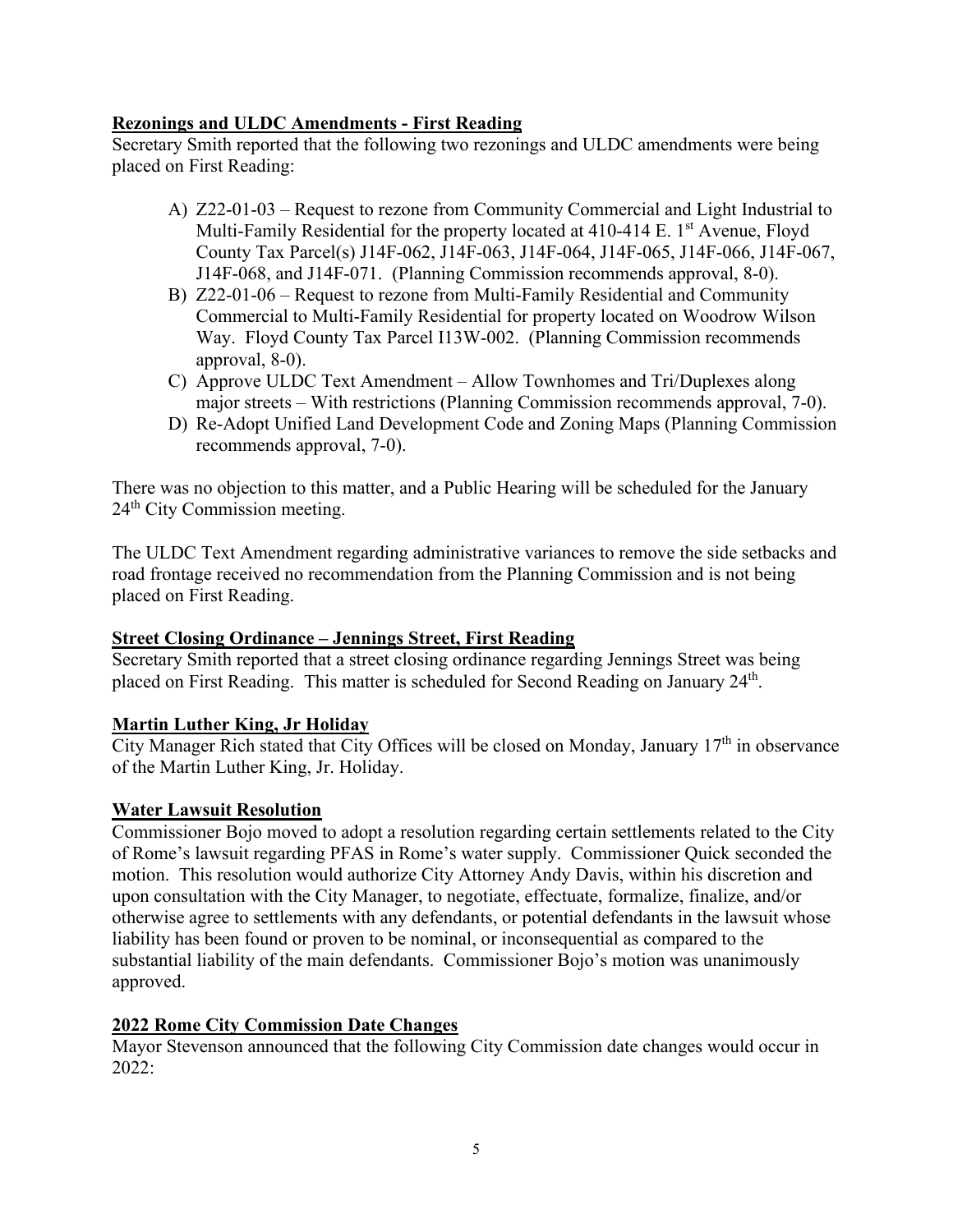# **Rezonings and ULDC Amendments - First Reading**

Secretary Smith reported that the following two rezonings and ULDC amendments were being placed on First Reading:

- A) Z22-01-03 Request to rezone from Community Commercial and Light Industrial to Multi-Family Residential for the property located at 410-414 E. 1<sup>st</sup> Avenue, Floyd County Tax Parcel(s) J14F-062, J14F-063, J14F-064, J14F-065, J14F-066, J14F-067, J14F-068, and J14F-071. (Planning Commission recommends approval, 8-0).
- B) Z22-01-06 Request to rezone from Multi-Family Residential and Community Commercial to Multi-Family Residential for property located on Woodrow Wilson Way. Floyd County Tax Parcel I13W-002. (Planning Commission recommends approval, 8-0).
- C) Approve ULDC Text Amendment Allow Townhomes and Tri/Duplexes along major streets – With restrictions (Planning Commission recommends approval, 7-0).
- D) Re-Adopt Unified Land Development Code and Zoning Maps (Planning Commission recommends approval, 7-0).

There was no objection to this matter, and a Public Hearing will be scheduled for the January 24<sup>th</sup> City Commission meeting.

The ULDC Text Amendment regarding administrative variances to remove the side setbacks and road frontage received no recommendation from the Planning Commission and is not being placed on First Reading.

# **Street Closing Ordinance – Jennings Street, First Reading**

Secretary Smith reported that a street closing ordinance regarding Jennings Street was being placed on First Reading. This matter is scheduled for Second Reading on January 24<sup>th</sup>.

# **Martin Luther King, Jr Holiday**

City Manager Rich stated that City Offices will be closed on Monday, January  $17<sup>th</sup>$  in observance of the Martin Luther King, Jr. Holiday.

## **Water Lawsuit Resolution**

Commissioner Bojo moved to adopt a resolution regarding certain settlements related to the City of Rome's lawsuit regarding PFAS in Rome's water supply. Commissioner Quick seconded the motion. This resolution would authorize City Attorney Andy Davis, within his discretion and upon consultation with the City Manager, to negotiate, effectuate, formalize, finalize, and/or otherwise agree to settlements with any defendants, or potential defendants in the lawsuit whose liability has been found or proven to be nominal, or inconsequential as compared to the substantial liability of the main defendants. Commissioner Bojo's motion was unanimously approved.

## **2022 Rome City Commission Date Changes**

Mayor Stevenson announced that the following City Commission date changes would occur in 2022: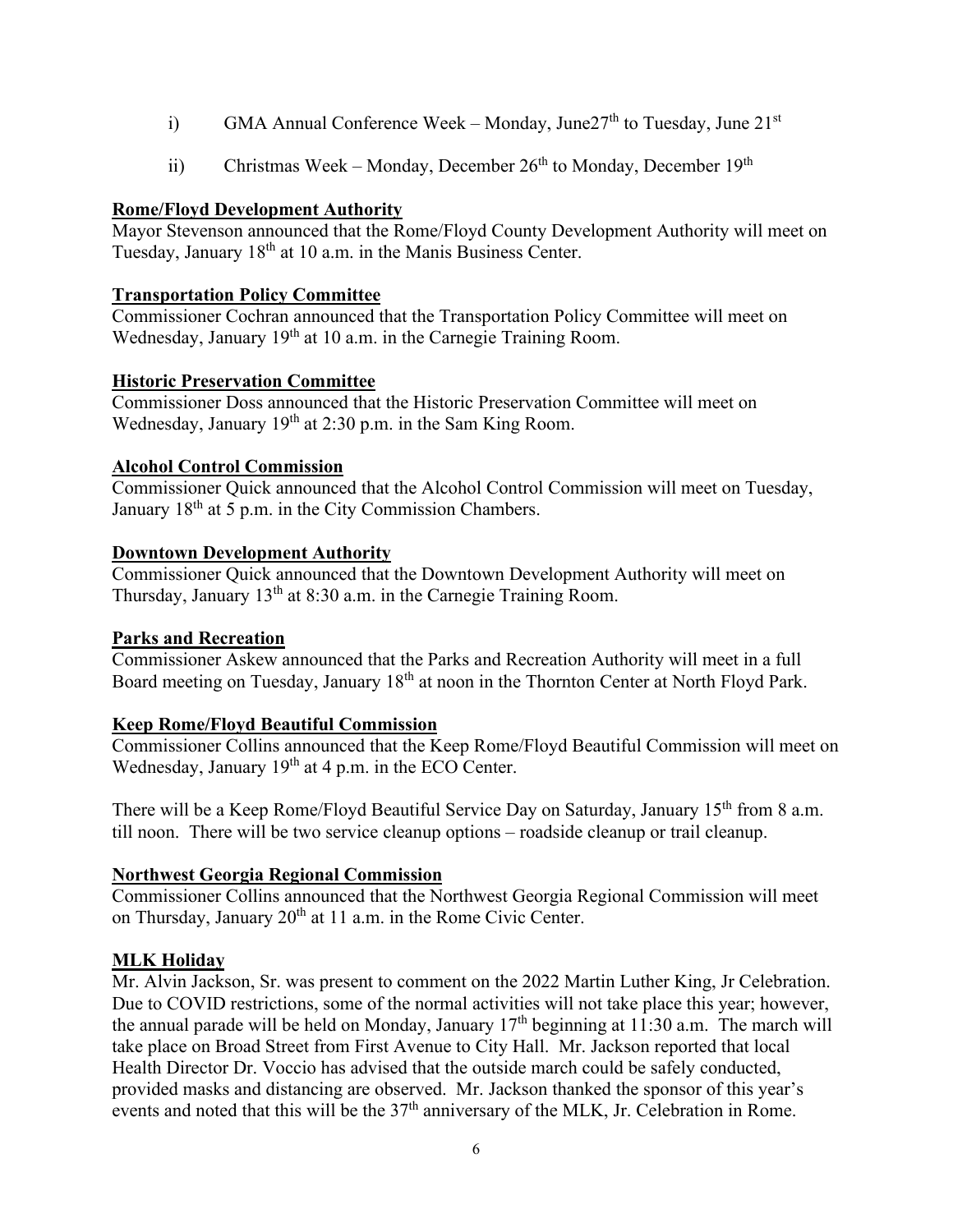- i) GMA Annual Conference Week Monday, June  $27<sup>th</sup>$  to Tuesday, June  $21<sup>st</sup>$
- ii) Christmas Week Monday, December  $26<sup>th</sup>$  to Monday, December  $19<sup>th</sup>$

# **Rome/Floyd Development Authority**

Mayor Stevenson announced that the Rome/Floyd County Development Authority will meet on Tuesday, January 18<sup>th</sup> at 10 a.m. in the Manis Business Center.

# **Transportation Policy Committee**

Commissioner Cochran announced that the Transportation Policy Committee will meet on Wednesday, January 19<sup>th</sup> at 10 a.m. in the Carnegie Training Room.

# **Historic Preservation Committee**

Commissioner Doss announced that the Historic Preservation Committee will meet on Wednesday, January 19<sup>th</sup> at 2:30 p.m. in the Sam King Room.

# **Alcohol Control Commission**

Commissioner Quick announced that the Alcohol Control Commission will meet on Tuesday, January 18<sup>th</sup> at 5 p.m. in the City Commission Chambers.

# **Downtown Development Authority**

Commissioner Quick announced that the Downtown Development Authority will meet on Thursday, January  $13<sup>th</sup>$  at  $8:30$  a.m. in the Carnegie Training Room.

## **Parks and Recreation**

Commissioner Askew announced that the Parks and Recreation Authority will meet in a full Board meeting on Tuesday, January 18<sup>th</sup> at noon in the Thornton Center at North Floyd Park.

# **Keep Rome/Floyd Beautiful Commission**

Commissioner Collins announced that the Keep Rome/Floyd Beautiful Commission will meet on Wednesday, January  $19<sup>th</sup>$  at 4 p.m. in the ECO Center.

There will be a Keep Rome/Floyd Beautiful Service Day on Saturday, January 15<sup>th</sup> from 8 a.m. till noon. There will be two service cleanup options – roadside cleanup or trail cleanup.

# **Northwest Georgia Regional Commission**

Commissioner Collins announced that the Northwest Georgia Regional Commission will meet on Thursday, January 20<sup>th</sup> at 11 a.m. in the Rome Civic Center.

# **MLK Holiday**

Mr. Alvin Jackson, Sr. was present to comment on the 2022 Martin Luther King, Jr Celebration. Due to COVID restrictions, some of the normal activities will not take place this year; however, the annual parade will be held on Monday, January  $17<sup>th</sup>$  beginning at 11:30 a.m. The march will take place on Broad Street from First Avenue to City Hall. Mr. Jackson reported that local Health Director Dr. Voccio has advised that the outside march could be safely conducted, provided masks and distancing are observed. Mr. Jackson thanked the sponsor of this year's events and noted that this will be the  $37<sup>th</sup>$  anniversary of the MLK, Jr. Celebration in Rome.